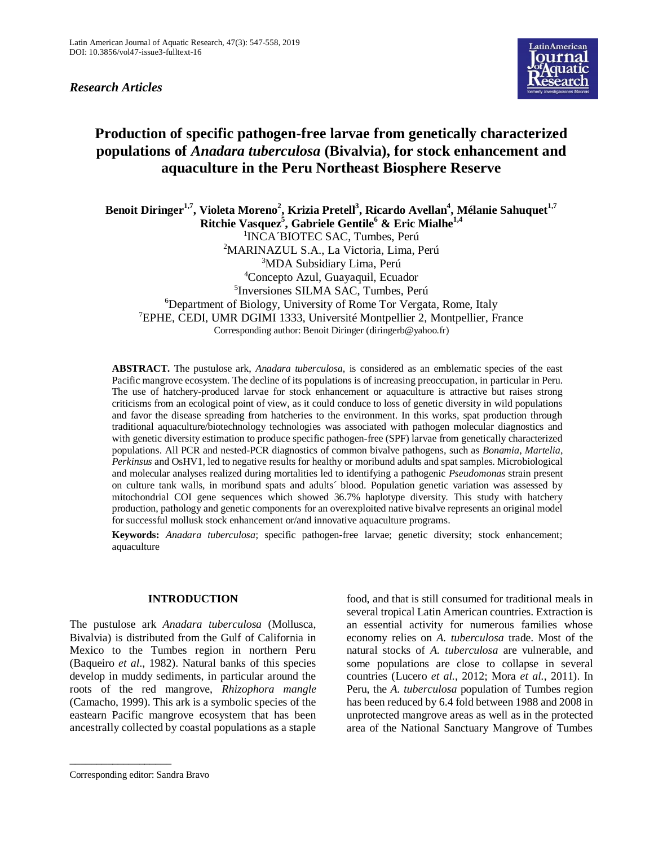*Research Articles*



# **Production of specific pathogen-free larvae from genetically characterized populations of** *Anadara tuberculosa* **(Bivalvia), for stock enhancement and aquaculture in the Peru Northeast Biosphere Reserve**

**Benoit Diringer1,7, Violeta Moreno<sup>2</sup> , Krizia Pretell<sup>3</sup> , Ricardo Avellan<sup>4</sup> , Mélanie Sahuquet1,7 Ritchie Vasquez<sup>5</sup> , Gabriele Gentile<sup>6</sup> & Eric Mialhe1,4** 1 INCA´BIOTEC SAC, Tumbes, Perú <sup>2</sup>MARINAZUL S.A., La Victoria, Lima, Perú <sup>3</sup>MDA Subsidiary Lima, Perú <sup>4</sup>Concepto Azul, Guayaquil, Ecuador 5 Inversiones SILMA SAC, Tumbes, Perú <sup>6</sup>Department of Biology, University of Rome Tor Vergata, Rome, Italy <sup>7</sup>EPHE, CEDI, UMR DGIMI 1333, Université Montpellier 2, Montpellier, France Corresponding author: Benoit Diringer [\(diringerb@yahoo.fr\)](mailto:diringerb@yahoo.fr)

**ABSTRACT.** The pustulose ark, *Anadara tuberculosa*, is considered as an emblematic species of the east Pacific mangrove ecosystem. The decline of its populations is of increasing preoccupation, in particular in Peru. The use of hatchery-produced larvae for stock enhancement or aquaculture is attractive but raises strong criticisms from an ecological point of view, as it could conduce to loss of genetic diversity in wild populations and favor the disease spreading from hatcheries to the environment. In this works, spat production through traditional aquaculture/biotechnology technologies was associated with pathogen molecular diagnostics and with genetic diversity estimation to produce specific pathogen-free (SPF) larvae from genetically characterized populations. All PCR and nested-PCR diagnostics of common bivalve pathogens, such as *Bonamia*, *Martelia*, *Perkinsus* and OsHV1, led to negative results for healthy or moribund adults and spat samples. Microbiological and molecular analyses realized during mortalities led to identifying a pathogenic *Pseudomonas* strain present on culture tank walls, in moribund spats and adults´ blood. Population genetic variation was assessed by mitochondrial COI gene sequences which showed 36.7% haplotype diversity. This study with hatchery production, pathology and genetic components for an overexploited native bivalve represents an original model for successful mollusk stock enhancement or/and innovative aquaculture programs.

**Keywords:** *Anadara tuberculosa*; specific pathogen-free larvae; genetic diversity; stock enhancement; aquaculture

# **INTRODUCTION**

The pustulose ark *Anadara tuberculosa* (Mollusca, Bivalvia) is distributed from the Gulf of California in Mexico to the Tumbes region in northern Peru (Baqueiro *et al*., 1982). Natural banks of this species develop in muddy sediments, in particular around the roots of the red mangrove, *Rhizophora mangle* (Camacho, 1999). This ark is a symbolic species of the eastearn Pacific mangrove ecosystem that has been ancestrally collected by coastal populations as a staple food, and that is still consumed for traditional meals in several tropical Latin American countries. Extraction is an essential activity for numerous families whose economy relies on *A. tuberculosa* trade. Most of the natural stocks of *A. tuberculosa* are vulnerable, and some populations are close to collapse in several countries (Lucero *et al.*, 2012; Mora *et al.*, 2011). In Peru, the *A. tuberculosa* population of Tumbes region has been reduced by 6.4 fold between 1988 and 2008 in unprotected mangrove areas as well as in the protected area of the National Sanctuary Mangrove of Tumbes

\_\_\_\_\_\_\_\_\_\_\_\_\_\_\_\_\_\_\_

Corresponding editor: Sandra Bravo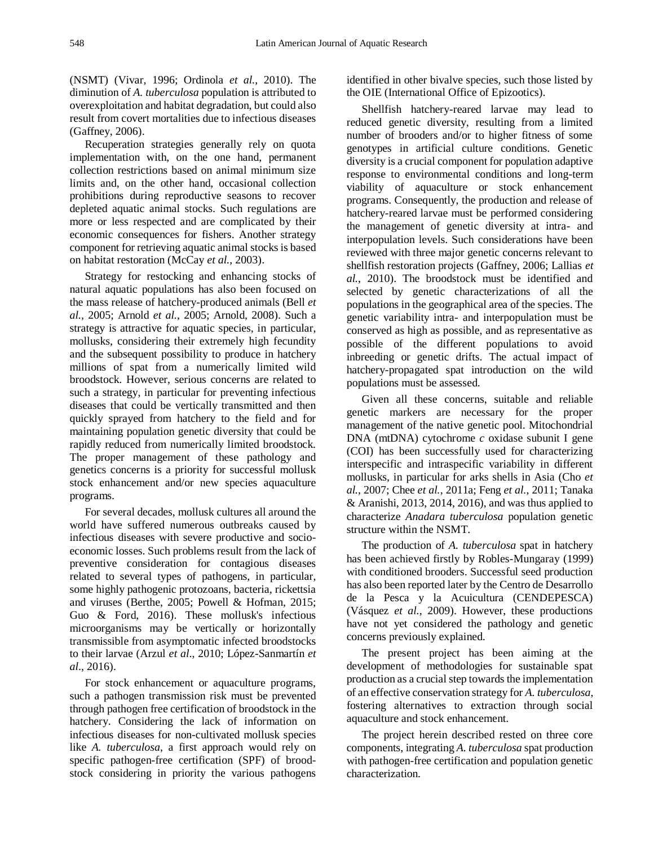(NSMT) (Vivar, 1996; Ordinola *et al.*, 2010). The diminution of *A. tuberculosa* population is attributed to overexploitation and habitat degradation, but could also result from covert mortalities due to infectious diseases (Gaffney, 2006).

Recuperation strategies generally rely on quota implementation with, on the one hand, permanent collection restrictions based on animal minimum size limits and, on the other hand, occasional collection prohibitions during reproductive seasons to recover depleted aquatic animal stocks. Such regulations are more or less respected and are complicated by their economic consequences for fishers. Another strategy component for retrieving aquatic animal stocks is based on habitat restoration (McCay *et al.*, 2003).

Strategy for restocking and enhancing stocks of natural aquatic populations has also been focused on the mass release of hatchery-produced animals (Bell *et al.*, 2005; Arnold *et al.*, 2005; Arnold, 2008). Such a strategy is attractive for aquatic species, in particular, mollusks, considering their extremely high fecundity and the subsequent possibility to produce in hatchery millions of spat from a numerically limited wild broodstock. However, serious concerns are related to such a strategy, in particular for preventing infectious diseases that could be vertically transmitted and then quickly sprayed from hatchery to the field and for maintaining population genetic diversity that could be rapidly reduced from numerically limited broodstock. The proper management of these pathology and genetics concerns is a priority for successful mollusk stock enhancement and/or new species aquaculture programs.

For several decades, mollusk cultures all around the world have suffered numerous outbreaks caused by infectious diseases with severe productive and socioeconomic losses. Such problems result from the lack of preventive consideration for contagious diseases related to several types of pathogens, in particular, some highly pathogenic protozoans, bacteria, rickettsia and viruses (Berthe, 2005; Powell & Hofman, 2015; Guo & Ford, 2016). These mollusk's infectious microorganisms may be vertically or horizontally transmissible from asymptomatic infected broodstocks to their larvae (Arzul *et al*., 2010; López-Sanmartín *et al*., 2016).

For stock enhancement or aquaculture programs, such a pathogen transmission risk must be prevented through pathogen free certification of broodstock in the hatchery. Considering the lack of information on infectious diseases for non-cultivated mollusk species like *A. tuberculosa*, a first approach would rely on specific pathogen-free certification (SPF) of broodstock considering in priority the various pathogens identified in other bivalve species, such those listed by the OIE (International Office of Epizootics).

Shellfish hatchery-reared larvae may lead to reduced genetic diversity, resulting from a limited number of brooders and/or to higher fitness of some genotypes in artificial culture conditions. Genetic diversity is a crucial component for population adaptive response to environmental conditions and long-term viability of aquaculture or stock enhancement programs. Consequently, the production and release of hatchery-reared larvae must be performed considering the management of genetic diversity at intra- and interpopulation levels. Such considerations have been reviewed with three major genetic concerns relevant to shellfish restoration projects (Gaffney, 2006; Lallias *et al.*, 2010). The broodstock must be identified and selected by genetic characterizations of all the populations in the geographical area of the species. The genetic variability intra- and interpopulation must be conserved as high as possible, and as representative as possible of the different populations to avoid inbreeding or genetic drifts. The actual impact of hatchery-propagated spat introduction on the wild populations must be assessed.

Given all these concerns, suitable and reliable genetic markers are necessary for the proper management of the native genetic pool. Mitochondrial DNA (mtDNA) cytochrome *c* oxidase subunit I gene (COI) has been successfully used for characterizing interspecific and intraspecific variability in different mollusks, in particular for arks shells in Asia (Cho *et al.*, 2007; Chee *et al.*, 2011a; Feng *et al.*, 2011; Tanaka & Aranishi, 2013, 2014, 2016), and was thus applied to characterize *Anadara tuberculosa* population genetic structure within the NSMT.

The production of *A. tuberculosa* spat in hatchery has been achieved firstly by Robles-Mungaray (1999) with conditioned brooders. Successful seed production has also been reported later by the Centro de Desarrollo de la Pesca y la Acuicultura (CENDEPESCA) (Vásquez *et al.*, 2009). However, these productions have not yet considered the pathology and genetic concerns previously explained.

The present project has been aiming at the development of methodologies for sustainable spat production as a crucial step towards the implementation of an effective conservation strategy for *A. tuberculosa*, fostering alternatives to extraction through social aquaculture and stock enhancement.

The project herein described rested on three core components, integrating *A. tuberculosa* spat production with pathogen-free certification and population genetic characterization.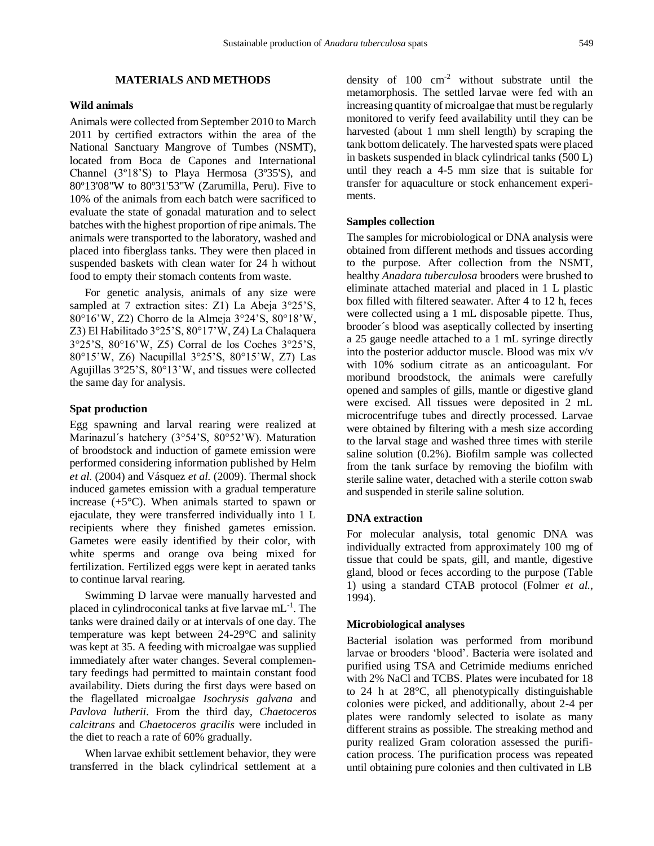# **MATERIALS AND METHODS**

# **Wild animals**

Animals were collected from September 2010 to March 2011 by certified extractors within the area of the National Sanctuary Mangrove of Tumbes (NSMT), located from Boca de Capones and International Channel (3º18'S) to Playa Hermosa (3º35'S), and 80º13'08"W to 80º31'53"W (Zarumilla, Peru). Five to 10% of the animals from each batch were sacrificed to evaluate the state of gonadal maturation and to select batches with the highest proportion of ripe animals. The animals were transported to the laboratory, washed and placed into fiberglass tanks. They were then placed in suspended baskets with clean water for 24 h without food to empty their stomach contents from waste.

For genetic analysis, animals of any size were sampled at 7 extraction sites: Z1) La Abeja 3°25'S, 80°16'W, Z2) Chorro de la Almeja 3°24'S, 80°18'W, Z3) El Habilitado 3°25'S, 80°17'W, Z4) La Chalaquera 3°25'S, 80°16'W, Z5) Corral de los Coches 3°25'S, 80°15'W, Z6) Nacupillal 3°25'S, 80°15'W, Z7) Las Agujillas 3°25'S, 80°13'W, and tissues were collected the same day for analysis.

#### **Spat production**

Egg spawning and larval rearing were realized at Marinazul´s hatchery (3°54'S, 80°52'W). Maturation of broodstock and induction of gamete emission were performed considering information published by Helm *et al.* (2004) and Vásquez *et al.* (2009). Thermal shock induced gametes emission with a gradual temperature increase  $(+5^{\circ}C)$ . When animals started to spawn or ejaculate, they were transferred individually into 1 L recipients where they finished gametes emission. Gametes were easily identified by their color, with white sperms and orange ova being mixed for fertilization. Fertilized eggs were kept in aerated tanks to continue larval rearing.

Swimming D larvae were manually harvested and placed in cylindroconical tanks at five larvae mL<sup>-1</sup>. The tanks were drained daily or at intervals of one day. The temperature was kept between 24-29°C and salinity was kept at 35. A feeding with microalgae was supplied immediately after water changes. Several complementary feedings had permitted to maintain constant food availability. Diets during the first days were based on the flagellated microalgae *Isochrysis galvana* and *Pavlova lutherii*. From the third day, *Chaetoceros calcitrans* and *Chaetoceros gracilis* were included in the diet to reach a rate of 60% gradually.

When larvae exhibit settlement behavior, they were transferred in the black cylindrical settlement at a density of  $100 \text{ cm}^{-2}$  without substrate until the metamorphosis. The settled larvae were fed with an increasing quantity of microalgae that must be regularly monitored to verify feed availability until they can be harvested (about 1 mm shell length) by scraping the tank bottom delicately. The harvested spats were placed in baskets suspended in black cylindrical tanks (500 L) until they reach a 4-5 mm size that is suitable for transfer for aquaculture or stock enhancement experiments.

#### **Samples collection**

The samples for microbiological or DNA analysis were obtained from different methods and tissues according to the purpose. After collection from the NSMT, healthy *Anadara tuberculosa* brooders were brushed to eliminate attached material and placed in 1 L plastic box filled with filtered seawater. After 4 to 12 h, feces were collected using a 1 mL disposable pipette. Thus, brooder´s blood was aseptically collected by inserting a 25 gauge needle attached to a 1 mL syringe directly into the posterior adductor muscle. Blood was mix v/v with 10% sodium citrate as an anticoagulant. For moribund broodstock, the animals were carefully opened and samples of gills, mantle or digestive gland were excised. All tissues were deposited in 2 mL microcentrifuge tubes and directly processed. Larvae were obtained by filtering with a mesh size according to the larval stage and washed three times with sterile saline solution (0.2%). Biofilm sample was collected from the tank surface by removing the biofilm with sterile saline water, detached with a sterile cotton swab and suspended in sterile saline solution.

## **DNA extraction**

For molecular analysis, total genomic DNA was individually extracted from approximately 100 mg of tissue that could be spats, gill, and mantle, digestive gland, blood or feces according to the purpose (Table 1) using a standard CTAB protocol (Folmer *et al.*, 1994).

#### **Microbiological analyses**

Bacterial isolation was performed from moribund larvae or brooders 'blood'. Bacteria were isolated and purified using TSA and Cetrimide mediums enriched with 2% NaCl and TCBS. Plates were incubated for 18 to 24 h at 28°C, all phenotypically distinguishable colonies were picked, and additionally, about 2-4 per plates were randomly selected to isolate as many different strains as possible. The streaking method and purity realized Gram coloration assessed the purification process. The purification process was repeated until obtaining pure colonies and then cultivated in LB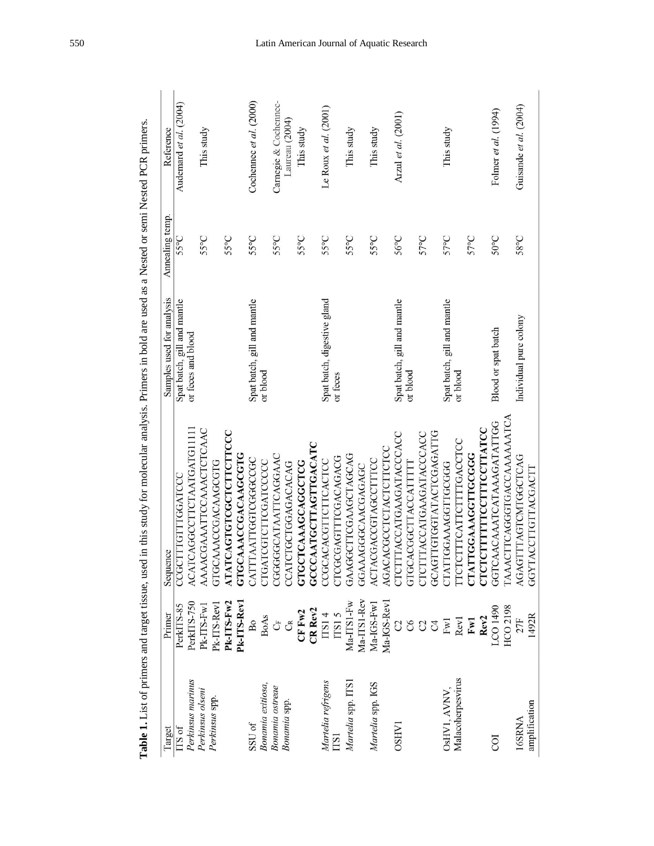|                        |                             | Table 1. List of primers and target tissue, used in this study for molecular analysis. Primers in bold are used as a Nested or semi Nested PCR primers. |                             |                 |                         |
|------------------------|-----------------------------|---------------------------------------------------------------------------------------------------------------------------------------------------------|-----------------------------|-----------------|-------------------------|
| Target                 | Primer                      | Sequence                                                                                                                                                | Samples used for analysis   | Annealing temp. | Reference               |
| $TSS$ of               | PerkITS-85                  | CCGCTTTGTTTGGATCCC                                                                                                                                      | Spat batch, gill and mantle | 55°C            | Audemard et al. (2004)  |
| Perkinsus marinus      | PerkITS-750                 | ACATCAGGCCTTCTAATGATG11111                                                                                                                              | or feces and blood          |                 |                         |
| Perkinsus olseni       | $PK-IIS-Fw1$                | AAAACGAAATTCCAAACTCTCAAC                                                                                                                                |                             | 55°C            | This study              |
| Perkinsus spp.         | Pk-ITS-Rev1                 | GTGCAAACCGACAAGCGTG                                                                                                                                     |                             |                 |                         |
|                        | Pk-ITS-Fw2                  | ATATCAGTGTCGCTCTTCTTCCC                                                                                                                                 |                             | 55°C            |                         |
|                        | Pk-ITS-Rev1                 | <b>GTGCAAACCGACAAGCGTG</b>                                                                                                                              |                             |                 |                         |
| SSU <sub>of</sub>      | B <sub>0</sub>              | CATTTAATTGGTCGGCCGC                                                                                                                                     | Spat batch, gill and mantle | 55°C            | Cochennec et al. (2000) |
| Bonamia exitiosa,      | <b>BoAs</b>                 | CTGATCGTCTTCGATCCCC                                                                                                                                     | or blood                    |                 |                         |
| <b>Bonamia</b> ostreae | Ů                           | CGGGGGCATAATTCAGGAAC                                                                                                                                    |                             | 55°C            | Carnegie & Cochennec-   |
| <b>Bonamia</b> spp.    | Ĵ                           | CCATCTGCTGGAGACACAG                                                                                                                                     |                             |                 | Laureau (2004)          |
|                        | $CF$ $Fw2$                  | GTGCTCAAAGCAGGCTCG                                                                                                                                      |                             | 55°C            | This study              |
|                        | CR Rev2                     | GCCCAATGCTTAGTTGACATC                                                                                                                                   |                             |                 |                         |
| Martelia refrigens     | ITS14                       | CCGCACACGITCITCACTCC                                                                                                                                    | Spat batch, digestive gland | 55°C            | Le Roux et al. (2001)   |
| <b>TS1</b>             | TSS15                       | CTCGCGAGTTTCGACAGACG                                                                                                                                    | or feces                    |                 |                         |
| Martelia spp. ITS:     | Ma-IIS1-Fw                  | GAAGGCTTCGAAGCTAGCAG                                                                                                                                    |                             | 55°C            | This study              |
|                        | Ma-ITS1-Rev                 | GGAAAGGGCAACGAGAGC                                                                                                                                      |                             |                 |                         |
| Martelia spp. IGS      | $Ma-IGS-Fw1$                | <b>ACTACGACCGTAGCCTTTCC</b>                                                                                                                             |                             | 55°C            | This study              |
|                        | Ma-IGS-Revl                 | <b>AGACACGCCTCTACTCTTCCC</b>                                                                                                                            |                             |                 |                         |
| <b>OSHV1</b>           | C                           | CTCTTTACCATGAAGATACCCACC                                                                                                                                | Spat batch, gill and mantle | 56°C            | Arzul et al. (2001)     |
|                        | $\mathcal{S}^{\mathcal{S}}$ | GTGCACGGCTTACCATTTT                                                                                                                                     | or blood                    |                 |                         |
|                        | $\mathbb{C}^2$              | CTCTTTACCATGAAGATACCCACC                                                                                                                                |                             | 57°C            |                         |
|                        | $\beta$                     | GCAGTIGIGGTATACTCGAGATIG                                                                                                                                |                             |                 |                         |
| OsHV1, AVNV,           | Fw1                         | CTATTGGAAAGGTTGCGGG                                                                                                                                     | Spat batch, gill and mantle | 57°C            | This study              |
| Malacoherpesvirus      | Rev1                        | <b>ITCICITTCATTCITTTGACCTCC</b>                                                                                                                         | or blood                    |                 |                         |
|                        | Fw <sub>1</sub>             | CTATTGGAAAGGTTGCGGG                                                                                                                                     |                             | 57°C            |                         |
|                        | Rev <sub>2</sub>            | CTCTCTTTTTCCTTTCCTTATCC                                                                                                                                 |                             |                 |                         |
| COI                    | LCO 1490                    | GGTCAACAAATCATAAAGATATTGG                                                                                                                               | Blood or spat batch         | 50°C            | Folmer et al. (1994)    |
|                        | HCO 2198                    | <b>LAAACTTCAGGGTGACCAAAAAATCA</b>                                                                                                                       |                             |                 |                         |
| 16SRNA                 | 27F                         | AGAGTTTAGTCMTGGCTCAG                                                                                                                                    | Individual pure colony      | 58°C            | Guisande et al. (2004)  |
| amplification          | 1492R                       | GGYTACCTIGITACGACTT                                                                                                                                     |                             |                 |                         |

# 550 Latin American Journal of Aquatic Research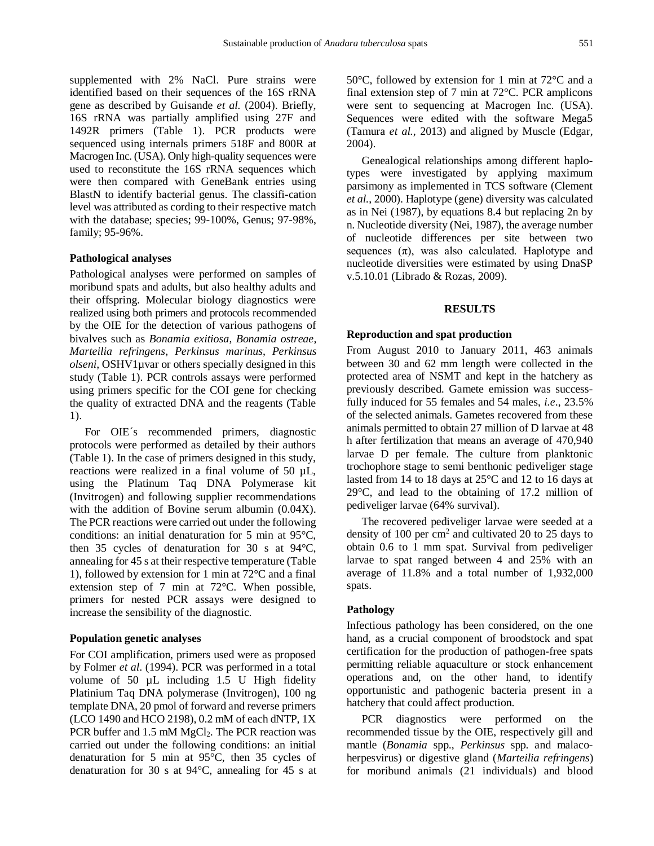supplemented with 2% NaCl. Pure strains were identified based on their sequences of the 16S rRNA gene as described by Guisande *et al.* (2004). Briefly, 16S rRNA was partially amplified using 27F and 1492R primers (Table 1). PCR products were sequenced using internals primers 518F and 800R at Macrogen Inc. (USA). Only high-quality sequences were used to reconstitute the 16S rRNA sequences which were then compared with GeneBank entries using BlastN to identify bacterial genus. The classifi-cation level was attributed as cording to their respective match with the database; species; 99-100%, Genus; 97-98%, family; 95-96%.

#### **Pathological analyses**

Pathological analyses were performed on samples of moribund spats and adults, but also healthy adults and their offspring. Molecular biology diagnostics were realized using both primers and protocols recommended by the OIE for the detection of various pathogens of bivalves such as *Bonamia exitiosa*, *Bonamia ostreae*, *Marteilia refringens*, *Perkinsus marinus*, *Perkinsus olseni*, OSHV1µvar or others specially designed in this study (Table 1). PCR controls assays were performed using primers specific for the COI gene for checking the quality of extracted DNA and the reagents (Table 1).

For OIE´s recommended primers, diagnostic protocols were performed as detailed by their authors (Table 1). In the case of primers designed in this study, reactions were realized in a final volume of 50  $\mu$ L, using the Platinum Taq DNA Polymerase kit (Invitrogen) and following supplier recommendations with the addition of Bovine serum albumin (0.04X). The PCR reactions were carried out under the following conditions: an initial denaturation for 5 min at 95°C, then 35 cycles of denaturation for 30 s at 94°C, annealing for 45 s at their respective temperature (Table 1), followed by extension for 1 min at 72°C and a final extension step of 7 min at 72°C. When possible, primers for nested PCR assays were designed to increase the sensibility of the diagnostic.

#### **Population genetic analyses**

For COI amplification, primers used were as proposed by Folmer *et al*. (1994). PCR was performed in a total volume of 50 µL including 1.5 U High fidelity Platinium Taq DNA polymerase (Invitrogen), 100 ng template DNA, 20 pmol of forward and reverse primers (LCO 1490 and HCO 2198), 0.2 mM of each dNTP, 1X PCR buffer and  $1.5 \text{ mM } MgCl_2$ . The PCR reaction was carried out under the following conditions: an initial denaturation for 5 min at 95°C, then 35 cycles of denaturation for 30 s at 94°C, annealing for 45 s at 50°C, followed by extension for 1 min at 72°C and a final extension step of 7 min at 72°C. PCR amplicons were sent to sequencing at Macrogen Inc. (USA). Sequences were edited with the software Mega5 (Tamura *et al.*, 2013) and aligned by Muscle (Edgar, 2004).

Genealogical relationships among different haplotypes were investigated by applying maximum parsimony as implemented in TCS software (Clement *et al.*, 2000). Haplotype (gene) diversity was calculated as in Nei (1987), by equations 8.4 but replacing 2n by n. Nucleotide diversity (Nei, 1987), the average number of nucleotide differences per site between two sequences  $(\pi)$ , was also calculated. Haplotype and nucleotide diversities were estimated by using DnaSP v.5.10.01 (Librado & Rozas, 2009).

# **RESULTS**

#### **Reproduction and spat production**

From August 2010 to January 2011, 463 animals between 30 and 62 mm length were collected in the protected area of NSMT and kept in the hatchery as previously described. Gamete emission was successfully induced for 55 females and 54 males, *i.e*., 23.5% of the selected animals. Gametes recovered from these animals permitted to obtain 27 million of D larvae at 48 h after fertilization that means an average of 470,940 larvae D per female. The culture from planktonic trochophore stage to semi benthonic pediveliger stage lasted from 14 to 18 days at 25°C and 12 to 16 days at 29°C, and lead to the obtaining of 17.2 million of pediveliger larvae (64% survival).

The recovered pediveliger larvae were seeded at a density of 100 per  $\text{cm}^2$  and cultivated 20 to 25 days to obtain 0.6 to 1 mm spat. Survival from pediveliger larvae to spat ranged between 4 and 25% with an average of 11.8% and a total number of 1,932,000 spats.

## **Pathology**

Infectious pathology has been considered, on the one hand, as a crucial component of broodstock and spat certification for the production of pathogen-free spats permitting reliable aquaculture or stock enhancement operations and, on the other hand, to identify opportunistic and pathogenic bacteria present in a hatchery that could affect production.

PCR diagnostics were performed on the recommended tissue by the OIE, respectively gill and mantle (*Bonamia* spp., *Perkinsus* spp. and malacoherpesvirus) or digestive gland (*Marteilia refringens*) for moribund animals (21 individuals) and blood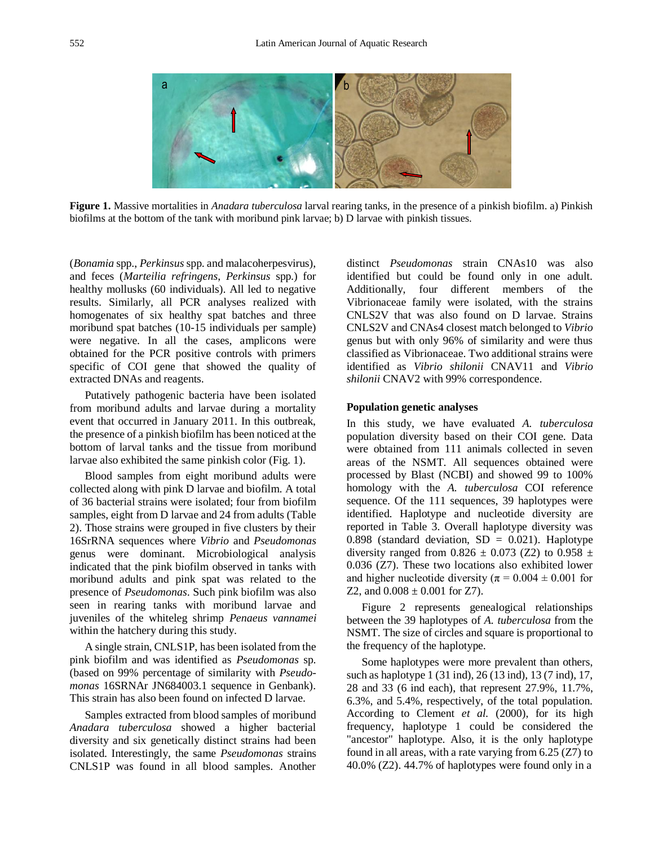

**Figure 1.** Massive mortalities in *Anadara tuberculosa* larval rearing tanks, in the presence of a pinkish biofilm. a) Pinkish biofilms at the bottom of the tank with moribund pink larvae; b) D larvae with pinkish tissues.

(*Bonamia* spp., *Perkinsus* spp. and malacoherpesvirus), and feces (*Marteilia refringens*, *Perkinsus* spp.) for healthy mollusks (60 individuals). All led to negative results. Similarly, all PCR analyses realized with homogenates of six healthy spat batches and three moribund spat batches (10-15 individuals per sample) were negative. In all the cases, amplicons were obtained for the PCR positive controls with primers specific of COI gene that showed the quality of extracted DNAs and reagents.

Putatively pathogenic bacteria have been isolated from moribund adults and larvae during a mortality event that occurred in January 2011. In this outbreak, the presence of a pinkish biofilm has been noticed at the bottom of larval tanks and the tissue from moribund larvae also exhibited the same pinkish color (Fig. 1).

Blood samples from eight moribund adults were collected along with pink D larvae and biofilm. A total of 36 bacterial strains were isolated; four from biofilm samples, eight from D larvae and 24 from adults (Table 2). Those strains were grouped in five clusters by their 16SrRNA sequences where *Vibrio* and *Pseudomonas* genus were dominant. Microbiological analysis indicated that the pink biofilm observed in tanks with moribund adults and pink spat was related to the presence of *Pseudomonas*. Such pink biofilm was also seen in rearing tanks with moribund larvae and juveniles of the whiteleg shrimp *Penaeus vannamei* within the hatchery during this study.

A single strain, CNLS1P, has been isolated from the pink biofilm and was identified as *Pseudomonas* sp. (based on 99% percentage of similarity with *Pseudomonas* 16SRNAr JN684003.1 sequence in Genbank). This strain has also been found on infected D larvae.

Samples extracted from blood samples of moribund *Anadara tuberculosa* showed a higher bacterial diversity and six genetically distinct strains had been isolated. Interestingly, the same *Pseudomonas* strains CNLS1P was found in all blood samples. Another distinct *Pseudomonas* strain CNAs10 was also identified but could be found only in one adult. Additionally, four different members of the Vibrionaceae family were isolated, with the strains CNLS2V that was also found on D larvae. Strains CNLS2V and CNAs4 closest match belonged to *Vibrio* genus but with only 96% of similarity and were thus classified as Vibrionaceae. Two additional strains were identified as *Vibrio shilonii* CNAV11 and *Vibrio shilonii* CNAV2 with 99% correspondence.

#### **Population genetic analyses**

In this study, we have evaluated *A. tuberculosa* population diversity based on their COI gene. Data were obtained from 111 animals collected in seven areas of the NSMT. All sequences obtained were processed by Blast (NCBI) and showed 99 to 100% homology with the *A. tuberculosa* COI reference sequence. Of the 111 sequences, 39 haplotypes were identified. Haplotype and nucleotide diversity are reported in Table 3. Overall haplotype diversity was 0.898 (standard deviation,  $SD = 0.021$ ). Haplotype diversity ranged from 0.826  $\pm$  0.073 (Z2) to 0.958  $\pm$ 0.036 (Z7). These two locations also exhibited lower and higher nucleotide diversity ( $\pi = 0.004 \pm 0.001$  for Z2, and  $0.008 \pm 0.001$  for Z7).

Figure 2 represents genealogical relationships between the 39 haplotypes of *A. tuberculosa* from the NSMT. The size of circles and square is proportional to the frequency of the haplotype.

Some haplotypes were more prevalent than others, such as haplotype 1 (31 ind), 26 (13 ind), 13 (7 ind), 17, 28 and 33 (6 ind each), that represent 27.9%, 11.7%, 6.3%, and 5.4%, respectively, of the total population. According to Clement *et al.* (2000), for its high frequency, haplotype 1 could be considered the "ancestor" haplotype. Also, it is the only haplotype found in all areas, with a rate varying from  $6.25$  (Z7) to 40.0% (Z2). 44.7% of haplotypes were found only in a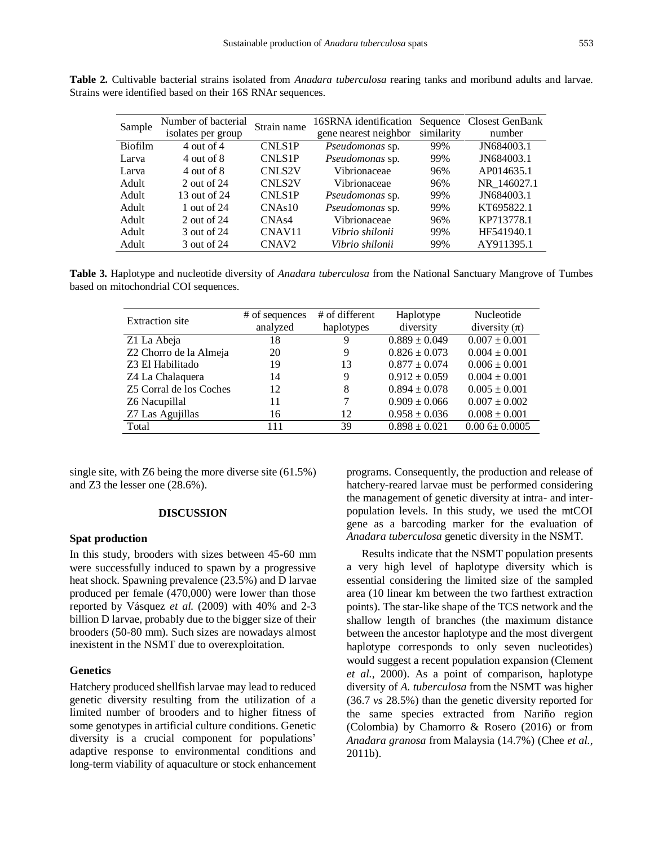|                | Number of bacterial |                    | 16SRNA identification  |            | Sequence Closest GenBank |
|----------------|---------------------|--------------------|------------------------|------------|--------------------------|
| Sample         |                     | Strain name        |                        |            |                          |
|                | isolates per group  |                    | gene nearest neighbor  | similarity | number                   |
| <b>Biofilm</b> | 4 out of $4$        | <b>CNLS1P</b>      | Pseudomonas sp.        | 99%        | JN684003.1               |
| Larva          | 4 out of 8          | <b>CNLS1P</b>      | Pseudomonas sp.        | 99%        | JN684003.1               |
| Larva          | 4 out of 8          | <b>CNLS2V</b>      | Vibrionaceae           | 96%        | AP014635.1               |
| Adult          | 2 out of 24         | <b>CNLS2V</b>      | Vibrionaceae           | 96%        | NR 146027.1              |
| Adult          | 13 out of 24        | <b>CNLS1P</b>      | Pseudomonas sp.        | 99%        | JN684003.1               |
| Adult          | 1 out of 24         | CNAs10             | <i>Pseudomonas sp.</i> | 99%        | KT695822.1               |
| Adult          | 2 out of 24         | CNA <sub>s4</sub>  | Vibrionaceae           | 96%        | KP713778.1               |
| Adult          | 3 out of 24         | CNAV <sub>11</sub> | Vibrio shilonii        | 99%        | HF541940.1               |
| Adult          | 3 out of 24         | CNAV <sub>2</sub>  | Vibrio shilonii        | 99%        | AY911395.1               |

**Table 2.** Cultivable bacterial strains isolated from *Anadara tuberculosa* rearing tanks and moribund adults and larvae. Strains were identified based on their 16S RNAr sequences.

**Table 3.** Haplotype and nucleotide diversity of *Anadara tuberculosa* from the National Sanctuary Mangrove of Tumbes based on mitochondrial COI sequences.

| <b>Extraction</b> site  | # of sequences | # of different | Haplotype         | Nucleotide         |
|-------------------------|----------------|----------------|-------------------|--------------------|
|                         | analyzed       | haplotypes     | diversity         | diversity $(\pi)$  |
| Z1 La Abeja             | 18             | 9              | $0.889 \pm 0.049$ | $0.007 \pm 0.001$  |
| Z2 Chorro de la Almeja  | 20             | 9              | $0.826 \pm 0.073$ | $0.004 \pm 0.001$  |
| Z3 El Habilitado        | 19             | 13             | $0.877 \pm 0.074$ | $0.006 \pm 0.001$  |
| Z4 La Chalaquera        | 14             | 9              | $0.912 \pm 0.059$ | $0.004 \pm 0.001$  |
| Z5 Corral de los Coches | 12             | 8              | $0.894 \pm 0.078$ | $0.005 \pm 0.001$  |
| Z6 Nacupillal           | 11             | 7              | $0.909 \pm 0.066$ | $0.007 \pm 0.002$  |
| Z7 Las Agujillas        | 16             | 12             | $0.958 \pm 0.036$ | $0.008 \pm 0.001$  |
| Total                   | 111            | 39             | $0.898 \pm 0.021$ | $0.006 \pm 0.0005$ |

single site, with Z6 being the more diverse site (61.5%) and Z3 the lesser one (28.6%).

### **DISCUSSION**

#### **Spat production**

In this study, brooders with sizes between 45-60 mm were successfully induced to spawn by a progressive heat shock. Spawning prevalence (23.5%) and D larvae produced per female (470,000) were lower than those reported by Vásquez *et al.* (2009) with 40% and 2-3 billion D larvae, probably due to the bigger size of their brooders (50-80 mm). Such sizes are nowadays almost inexistent in the NSMT due to overexploitation.

### **Genetics**

Hatchery produced shellfish larvae may lead to reduced genetic diversity resulting from the utilization of a limited number of brooders and to higher fitness of some genotypes in artificial culture conditions. Genetic diversity is a crucial component for populations' adaptive response to environmental conditions and long-term viability of aquaculture or stock enhancement programs. Consequently, the production and release of hatchery-reared larvae must be performed considering the management of genetic diversity at intra- and interpopulation levels. In this study, we used the mtCOI gene as a barcoding marker for the evaluation of *Anadara tuberculosa* genetic diversity in the NSMT.

Results indicate that the NSMT population presents a very high level of haplotype diversity which is essential considering the limited size of the sampled area (10 linear km between the two farthest extraction points). The star-like shape of the TCS network and the shallow length of branches (the maximum distance between the ancestor haplotype and the most divergent haplotype corresponds to only seven nucleotides) would suggest a recent population expansion (Clement *et al.*, 2000). As a point of comparison, haplotype diversity of *A. tuberculosa* from the NSMT was higher (36.7 *vs* 28.5%) than the genetic diversity reported for the same species extracted from Nariño region (Colombia) by Chamorro & Rosero (2016) or from *Anadara granosa* from Malaysia (14.7%) (Chee *et al.*, 2011b).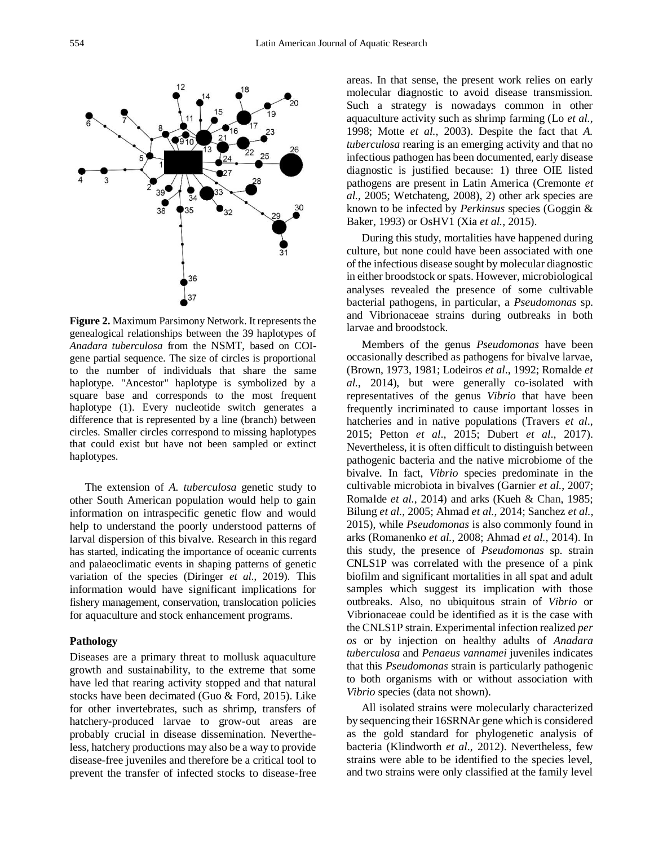**Figure 2.** Maximum Parsimony Network. It represents the genealogical relationships between the 39 haplotypes of *Anadara tuberculosa* from the NSMT, based on COIgene partial sequence. The size of circles is proportional to the number of individuals that share the same haplotype. "Ancestor" haplotype is symbolized by a square base and corresponds to the most frequent haplotype (1). Every nucleotide switch generates a difference that is represented by a line (branch) between circles. Smaller circles correspond to missing haplotypes that could exist but have not been sampled or extinct haplotypes.

The extension of *A. tuberculosa* genetic study to other South American population would help to gain information on intraspecific genetic flow and would help to understand the poorly understood patterns of larval dispersion of this bivalve. Research in this regard has started, indicating the importance of oceanic currents and palaeoclimatic events in shaping patterns of genetic variation of the species (Diringer *et al*., 2019). This information would have significant implications for fishery management, conservation, translocation policies for aquaculture and stock enhancement programs.

# **Pathology**

Diseases are a primary threat to mollusk aquaculture growth and sustainability, to the extreme that some have led that rearing activity stopped and that natural stocks have been decimated (Guo & Ford, 2015). Like for other invertebrates, such as shrimp, transfers of hatchery-produced larvae to grow-out areas are probably crucial in disease dissemination. Nevertheless, hatchery productions may also be a way to provide disease-free juveniles and therefore be a critical tool to prevent the transfer of infected stocks to disease-free areas. In that sense, the present work relies on early molecular diagnostic to avoid disease transmission. Such a strategy is nowadays common in other aquaculture activity such as shrimp farming (Lo *et al.*, 1998; Motte *et al.*, 2003). Despite the fact that *A. tuberculosa* rearing is an emerging activity and that no infectious pathogen has been documented, early disease diagnostic is justified because: 1) three OIE listed pathogens are present in Latin America (Cremonte *et al.*, 2005; Wetchateng, 2008), 2) other ark species are known to be infected by *Perkinsus* species (Goggin & Baker, 1993) or OsHV1 (Xia *et al.*, 2015).

During this study, mortalities have happened during culture, but none could have been associated with one of the infectious disease sought by molecular diagnostic in either broodstock or spats. However, microbiological analyses revealed the presence of some cultivable bacterial pathogens, in particular, a *Pseudomonas* sp. and Vibrionaceae strains during outbreaks in both larvae and broodstock.

Members of the genus *Pseudomonas* have been occasionally described as pathogens for bivalve larvae, (Brown, 1973, 1981; Lodeiros *et al*., 1992; Romalde *et al.*, 2014), but were generally co-isolated with representatives of the genus *Vibrio* that have been frequently incriminated to cause important losses in hatcheries and in native populations (Travers *et al*., 2015; Petton *et al*., 2015; Dubert *et al*., 2017). Nevertheless, it is often difficult to distinguish between pathogenic bacteria and the native microbiome of the bivalve. In fact, *Vibrio* species predominate in the cultivable microbiota in bivalves (Garnier *et al.*, 2007; Romalde *et al.*, 2014) and arks (Kueh & Chan, 1985; Bilung *et al.*, 2005; Ahmad *et al.*, 2014; Sanchez *et al.*, 2015), while *Pseudomonas* is also commonly found in arks (Romanenko *et al.*, 2008; Ahmad *et al.*, 2014). In this study, the presence of *Pseudomonas* sp. strain CNLS1P was correlated with the presence of a pink biofilm and significant mortalities in all spat and adult samples which suggest its implication with those outbreaks. Also, no ubiquitous strain of *Vibrio* or Vibrionaceae could be identified as it is the case with the CNLS1P strain. Experimental infection realized *per os* or by injection on healthy adults of *Anadara tuberculosa* and *Penaeus vannamei* juveniles indicates that this *Pseudomonas* strain is particularly pathogenic to both organisms with or without association with *Vibrio* species (data not shown).

All isolated strains were molecularly characterized by sequencing their 16SRNAr gene which is considered as the gold standard for phylogenetic analysis of bacteria (Klindworth *et al*., 2012). Nevertheless, few strains were able to be identified to the species level, and two strains were only classified at the family level

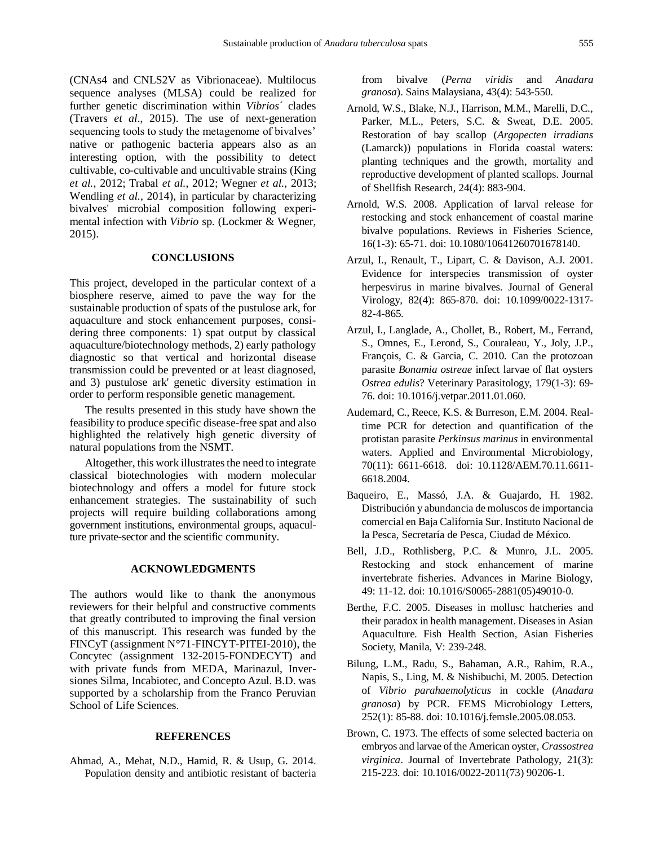(CNAs4 and CNLS2V as Vibrionaceae). Multilocus sequence analyses (MLSA) could be realized for further genetic discrimination within *Vibrios*´ clades (Travers *et al*., 2015). The use of next-generation sequencing tools to study the metagenome of bivalves' native or pathogenic bacteria appears also as an interesting option, with the possibility to detect cultivable, co-cultivable and uncultivable strains (King *et al.*, 2012; Trabal *et al.*, 2012; Wegner *et al.*, 2013; Wendling *et al.*, 2014), in particular by characterizing bivalves' microbial composition following experimental infection with *Vibrio* sp. (Lockmer & Wegner, 2015).

# **CONCLUSIONS**

This project, developed in the particular context of a biosphere reserve, aimed to pave the way for the sustainable production of spats of the pustulose ark, for aquaculture and stock enhancement purposes, considering three components: 1) spat output by classical aquaculture/biotechnology methods, 2) early pathology diagnostic so that vertical and horizontal disease transmission could be prevented or at least diagnosed, and 3) pustulose ark' genetic diversity estimation in order to perform responsible genetic management.

The results presented in this study have shown the feasibility to produce specific disease-free spat and also highlighted the relatively high genetic diversity of natural populations from the NSMT.

Altogether, this work illustrates the need to integrate classical biotechnologies with modern molecular biotechnology and offers a model for future stock enhancement strategies. The sustainability of such projects will require building collaborations among government institutions, environmental groups, aquaculture private-sector and the scientific community.

## **ACKNOWLEDGMENTS**

The authors would like to thank the anonymous reviewers for their helpful and constructive comments that greatly contributed to improving the final version of this manuscript. This research was funded by the FINCyT (assignment N°71-FINCYT-PITEI-2010), the Concytec (assignment 132-2015-FONDECYT) and with private funds from MEDA, Marinazul, Inversiones Silma, Incabiotec, and Concepto Azul. B.D. was supported by a scholarship from the Franco Peruvian School of Life Sciences.

# **REFERENCES**

Ahmad, A., Mehat, N.D., Hamid, R. & Usup, G. 2014. Population density and antibiotic resistant of bacteria from bivalve (*Perna viridis* and *Anadara granosa*). Sains Malaysiana, 43(4): 543-550.

- Arnold, W.S., Blake, N.J., Harrison, M.M., Marelli, D.C., Parker, M.L., Peters, S.C. & Sweat, D.E. 2005. Restoration of bay scallop (*Argopecten irradians* (Lamarck)) populations in Florida coastal waters: planting techniques and the growth, mortality and reproductive development of planted scallops. Journal of Shellfish Research, 24(4): 883-904.
- Arnold, W.S. 2008. Application of larval release for restocking and stock enhancement of coastal marine bivalve populations. Reviews in Fisheries Science, 16(1-3): 65-71. doi: 10.1080/10641260701678140.
- Arzul, I., Renault, T., Lipart, C. & Davison, A.J. 2001. Evidence for interspecies transmission of oyster herpesvirus in marine bivalves. Journal of General Virology, 82(4): 865-870. doi: 10.1099/0022-1317- 82-4-865.
- Arzul, I., Langlade, A., Chollet, B., Robert, M., Ferrand, S., Omnes, E., Lerond, S., Couraleau, Y., Joly, J.P., François, C. & Garcia, C. 2010. Can the protozoan parasite *Bonamia ostreae* infect larvae of flat oysters *Ostrea edulis*? Veterinary Parasitology, 179(1-3): 69- 76. doi: 10.1016/j.vetpar.2011.01.060.
- Audemard, C., Reece, K.S. & Burreson, E.M. 2004. Realtime PCR for detection and quantification of the protistan parasite *Perkinsus marinus* in environmental waters. Applied and Environmental Microbiology, 70(11): 6611-6618. doi: 10.1128/AEM.70.11.6611- 6618.2004.
- Baqueiro, E., Massó, J.A. & Guajardo, H. 1982. Distribución y abundancia de moluscos de importancia comercial en Baja California Sur. Instituto Nacional de la Pesca, Secretaría de Pesca, Ciudad de México.
- Bell, J.D., Rothlisberg, P.C. & Munro, J.L. 2005. Restocking and stock enhancement of marine invertebrate fisheries. Advances in Marine Biology, 49: 11-12. doi: 10.1016/S0065-2881(05)49010-0.
- Berthe, F.C. 2005. Diseases in mollusc hatcheries and their paradox in health management. Diseases in Asian Aquaculture. Fish Health Section, Asian Fisheries Society, Manila, V: 239-248.
- Bilung, L.M., Radu, S., Bahaman, A.R., Rahim, R.A., Napis, S., Ling, M. & Nishibuchi, M. 2005. Detection of *Vibrio parahaemolyticus* in cockle (*Anadara granosa*) by PCR. FEMS Microbiology Letters, 252(1): 85-88. doi: 10.1016/j.femsle.2005.08.053.
- Brown, C. 1973. The effects of some selected bacteria on embryos and larvae of the American oyster, *Crassostrea virginica*. Journal of Invertebrate Pathology, 21(3): 215-223. doi: 10.1016/0022-2011(73) 90206-1.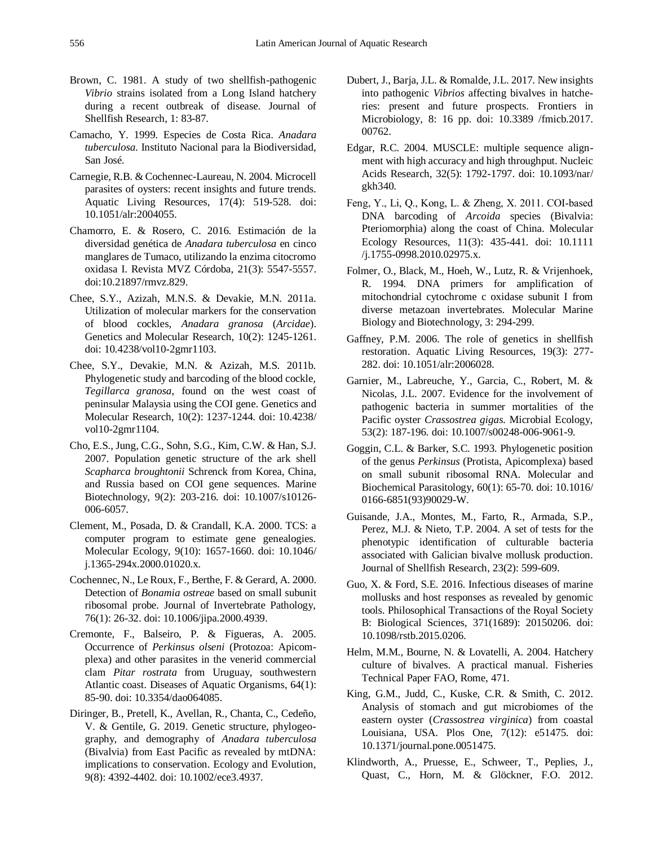- Brown, C. 1981. A study of two shellfish-pathogenic *Vibrio* strains isolated from a Long Island hatchery during a recent outbreak of disease. Journal of Shellfish Research, 1: 83-87.
- Camacho, Y. 1999. Especies de Costa Rica. *Anadara tuberculosa*. Instituto Nacional para la Biodiversidad, San José.
- Carnegie, R.B. & Cochennec-Laureau, N. 2004. Microcell parasites of oysters: recent insights and future trends. Aquatic Living Resources, 17(4): 519-528. doi: 10.1051/alr:2004055.
- Chamorro, E. & Rosero, C. 2016. Estimación de la diversidad genética de *Anadara tuberculosa* en cinco manglares de Tumaco, utilizando la enzima citocromo oxidasa I. Revista MVZ Córdoba, 21(3): 5547-5557. doi:10.21897/rmvz.829.
- Chee, S.Y., Azizah, M.N.S. & Devakie, M.N. 2011a. Utilization of molecular markers for the conservation of blood cockles, *Anadara granosa* (*Arcidae*). Genetics and Molecular Research, 10(2): 1245-1261. doi: 10.4238/vol10-2gmr1103.
- Chee, S.Y., Devakie, M.N. & Azizah, M.S. 2011b. Phylogenetic study and barcoding of the blood cockle, *Tegillarca granosa*, found on the west coast of peninsular Malaysia using the COI gene. Genetics and Molecular Research, 10(2): 1237-1244. doi: 10.4238/ vol10-2gmr1104.
- Cho, E.S., Jung, C.G., Sohn, S.G., Kim, C.W. & Han, S.J. 2007. Population genetic structure of the ark shell *Scapharca broughtonii* Schrenck from Korea, China, and Russia based on COI gene sequences. Marine Biotechnology, 9(2): 203-216. doi: 10.1007/s10126- 006-6057.
- Clement, M., Posada, D. & Crandall, K.A. 2000. TCS: a computer program to estimate gene genealogies. Molecular Ecology, 9(10): 1657-1660. doi: 10.1046/ j.1365-294x.2000.01020.x.
- Cochennec, N., Le Roux, F., Berthe, F. & Gerard, A. 2000. Detection of *Bonamia ostreae* based on small subunit ribosomal probe. Journal of Invertebrate Pathology, 76(1): 26-32. doi: 10.1006/jipa.2000.4939.
- Cremonte, F., Balseiro, P. & Figueras, A. 2005. Occurrence of *Perkinsus olseni* (Protozoa: Apicomplexa) and other parasites in the venerid commercial clam *Pitar rostrata* from Uruguay, southwestern Atlantic coast. Diseases of Aquatic Organisms, 64(1): 85-90. doi: 10.3354/dao064085.
- Diringer, B., Pretell, K., Avellan, R., Chanta, C., Cedeño, V. & Gentile, G. 2019. Genetic structure, phylogeography, and demography of *Anadara tuberculosa* (Bivalvia) from East Pacific as revealed by mtDNA: implications to conservation. Ecology and Evolution, 9(8): 4392-4402. doi: 10.1002/ece3.4937.
- Dubert, J., Barja, J.L. & Romalde, J.L. 2017. New insights into pathogenic *Vibrios* affecting bivalves in hatcheries: present and future prospects. Frontiers in Microbiology, 8: 16 pp. doi: 10.3389 /fmicb.2017. 00762.
- [Edgar, R.C. 2004. MUSCLE: multiple sequence align](http://nar.oupjournals.org/cgi/content/full/32/5/1792?ijkey=48Nmt1tta0fMg&keytype=ref)[ment with high accuracy and high throughput. Nucleic](http://nar.oupjournals.org/cgi/content/full/32/5/1792?ijkey=48Nmt1tta0fMg&keytype=ref)  [Acids Research, 32\(5\): 1792-1797.](http://nar.oupjournals.org/cgi/content/full/32/5/1792?ijkey=48Nmt1tta0fMg&keytype=ref) doi: 10.1093/nar/ gkh340.
- Feng, Y., Li, Q., Kong, L. & Zheng, X. 2011. COI‐based DNA barcoding of *Arcoida* species (Bivalvia: Pteriomorphia) along the coast of China*.* Molecular Ecology Resources, 11(3): 435-441. doi: 10.1111 /j.1755-0998.2010.02975.x.
- Folmer, O., Black, M., Hoeh, W., Lutz, R. & Vrijenhoek, R. 1994. DNA primers for amplification of mitochondrial cytochrome c oxidase subunit I from diverse metazoan invertebrates. Molecular Marine Biology and Biotechnology, 3: 294-299.
- Gaffney, P.M. 2006. The role of genetics in shellfish restoration. Aquatic Living Resources, 19(3): 277- 282. doi: 10.1051/alr:2006028.
- Garnier, M., Labreuche, Y., Garcia, C., Robert, M. & Nicolas, J.L. 2007. Evidence for the involvement of pathogenic bacteria in summer mortalities of the Pacific oyster *Crassostrea gigas*. Microbial Ecology, 53(2): 187-196. doi: 10.1007/s00248-006-9061-9.
- Goggin, C.L. & Barker, S.C. 1993. Phylogenetic position of the genus *Perkinsus* (Protista, Apicomplexa) based on small subunit ribosomal RNA. Molecular and Biochemical Parasitology, 60(1): 65-70. doi: 10.1016/ 0166-6851(93)90029-W.
- Guisande, J.A., Montes, M., Farto, R., Armada, S.P., Perez, M.J. & Nieto, T.P. 2004. A set of tests for the phenotypic identification of culturable bacteria associated with Galician bivalve mollusk production. Journal of Shellfish Research, 23(2): 599-609.
- Guo, X. & Ford, S.E. 2016. Infectious diseases of marine mollusks and host responses as revealed by genomic tools. Philosophical Transactions of the Royal Society B: Biological Sciences, 371(1689): 20150206. doi: 10.1098/rstb.2015.0206.
- Helm, M.M., Bourne, N. & Lovatelli, A. 2004. Hatchery culture of bivalves. A practical manual. Fisheries Technical Paper FAO, Rome, 471.
- King, G.M., Judd, C., Kuske, C.R. & Smith, C. 2012. Analysis of stomach and gut microbiomes of the eastern oyster (*Crassostrea virginica*) from coastal Louisiana, USA. Plos One, 7(12): e51475. doi: 10.1371/journal.pone.0051475.
- Klindworth, A., Pruesse, E., Schweer, T., Peplies, J., Quast, C., Horn, M. & Glöckner, F.O. 2012.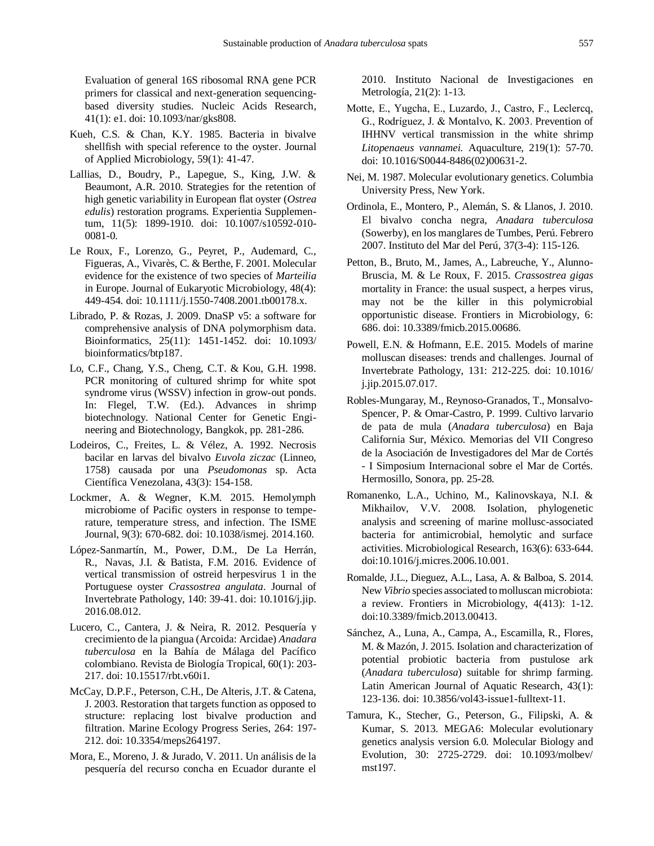Evaluation of general 16S ribosomal RNA gene PCR primers for classical and next-generation sequencingbased diversity studies. Nucleic Acids Research, 41(1): e1. doi: 10.1093/nar/gks808.

- Kueh, C.S. & Chan, K.Y. 1985. Bacteria in bivalve shellfish with special reference to the oyster. Journal of Applied Microbiology, 59(1): 41-47.
- Lallias, D., Boudry, P., Lapegue, S., King, J.W. & Beaumont, A.R. 2010. Strategies for the retention of high genetic variability in European flat oyster (*Ostrea edulis*) restoration programs. Experientia Supplementum, 11(5): 1899-1910. doi: 10.1007/s10592-010- 0081-0.
- Le Roux, F., Lorenzo, G., Peyret, P., Audemard, C., Figueras, A., Vivarès, C. & Berthe, F. 2001. Molecular evidence for the existence of two species of *Marteilia* in Europe. Journal of Eukaryotic Microbiology, 48(4): 449-454. doi: 10.1111/j.1550-7408.2001.tb00178.x.
- Librado, P. & Rozas, J. 2009. DnaSP v5: a software for comprehensive analysis of DNA polymorphism data. Bioinformatics, 25(11): 1451-1452. doi: 10.1093/ bioinformatics/btp187.
- Lo, C.F., Chang, Y.S., Cheng, C.T. & Kou, G.H. 1998. PCR monitoring of cultured shrimp for white spot syndrome virus (WSSV) infection in grow-out ponds. In: Flegel, T.W. (Ed.). Advances in shrimp biotechnology. National Center for Genetic Engineering and Biotechnology, Bangkok, pp. 281-286.
- Lodeiros, C., Freites, L. & Vélez, A. 1992. Necrosis bacilar en larvas del bivalvo *Euvola ziczac* (Linneo, 1758) causada por una *Pseudomonas* sp. Acta Científica Venezolana, 43(3): 154-158.
- Lockmer, A. & Wegner, K.M. 2015. Hemolymph microbiome of Pacific oysters in response to temperature, temperature stress, and infection. The ISME Journal, 9(3): 670-682. doi: 10.1038/ismej. 2014.160.
- López-Sanmartín, M., Power, D.M., De La Herrán, R., Navas, J.I. & Batista, F.M. 2016. Evidence of vertical transmission of ostreid herpesvirus 1 in the Portuguese oyster *Crassostrea angulata*. Journal of Invertebrate Pathology, 140: 39-41. doi: 10.1016/j.jip. 2016.08.012.
- Lucero, C., Cantera, J. & Neira, R. 2012. Pesquería y crecimiento de la piangua (Arcoida: Arcidae) *Anadara tuberculosa* en la Bahía de Málaga del Pacífico colombiano. Revista de Biología Tropical, 60(1): 203- 217. doi: 10.15517/rbt.v60i1.
- McCay, D.P.F., Peterson, C.H., De Alteris, J.T. & Catena, J. 2003. Restoration that targets function as opposed to structure: replacing lost bivalve production and filtration. Marine Ecology Progress Series, 264: 197- 212. doi: 10.3354/meps264197.
- Mora, E., Moreno, J. & Jurado, V. 2011. Un análisis de la pesquería del recurso concha en Ecuador durante el

2010. Instituto Nacional de Investigaciones en Metrología, 21(2): 1-13.

- Motte, E., Yugcha, E., Luzardo, J., Castro, F., Leclercq, G., Rodríguez, J. & Montalvo, K. 2003. Prevention of IHHNV vertical transmission in the white shrimp *Litopenaeus vannamei.* Aquaculture, 219(1): 57-70. doi: 10.1016/S0044-8486(02)00631-2.
- Nei, M. 1987. Molecular evolutionary genetics. Columbia University Press, New York.
- Ordinola, E., Montero, P., Alemán, S. & Llanos, J. 2010. El bivalvo concha negra, *Anadara tuberculosa* (Sowerby), en los manglares de Tumbes, Perú. Febrero 2007. Instituto del Mar del Perú, 37(3-4): 115-126.
- Petton, B., Bruto, M., James, A., Labreuche, Y., Alunno-Bruscia, M. & Le Roux, F. 2015. *Crassostrea gigas* mortality in France: the usual suspect, a herpes virus, may not be the killer in this polymicrobial opportunistic disease. Frontiers in Microbiology, 6: 686. doi: 10.3389/fmicb.2015.00686.
- Powell, E.N. & Hofmann, E.E. 2015. Models of marine molluscan diseases: trends and challenges. Journal of Invertebrate Pathology, 131: 212-225. doi: 10.1016/ j.jip.2015.07.017.
- Robles-Mungaray, M., Reynoso-Granados, T., Monsalvo-Spencer, P. & Omar-Castro, P. 1999. Cultivo larvario de pata de mula (*Anadara tuberculosa*) en Baja California Sur, México. Memorias del VII Congreso de la Asociación de Investigadores del Mar de Cortés - I Simposium Internacional sobre el Mar de Cortés. Hermosillo, Sonora, pp. 25-28.
- Romanenko, L.A., Uchino, M., Kalinovskaya, N.I. & Mikhailov, V.V. 2008. Isolation, phylogenetic analysis and screening of marine mollusc-associated bacteria for antimicrobial, hemolytic and surface activities. Microbiological Research, 163(6): 633-644. doi:10.1016/j.micres.2006.10.001.
- Romalde, J.L., Dieguez, A.L., Lasa, A. & Balboa, S. 2014. New *Vibrio* species associated to molluscan microbiota: a review. Frontiers in Microbiology, 4(413): 1-12. doi:10.3389/fmicb.2013.00413.
- Sánchez, A., Luna, A., Campa, A., Escamilla, R., Flores, M. & Mazón, J. 2015. Isolation and characterization of potential probiotic bacteria from pustulose ark (*Anadara tuberculosa*) suitable for shrimp farming. Latin American Journal of Aquatic Research, 43(1): 123-136. doi: 10.3856/vol43-issue1-fulltext-11.
- Tamura, K., Stecher, G., Peterson, G., Filipski, A. & Kumar, S. 2013. MEGA6: Molecular evolutionary genetics analysis version 6.0*.* Molecular Biology and Evolution, 30: 2725-2729. doi: 10.1093/molbev/ mst197.